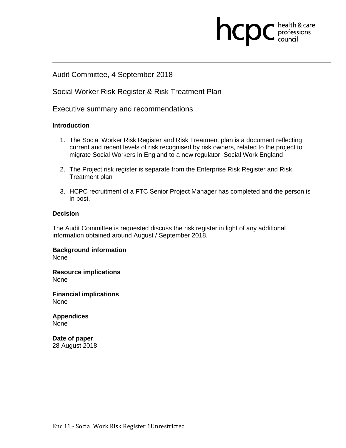### Audit Committee, 4 September 2018

### Social Worker Risk Register & Risk Treatment Plan

Executive summary and recommendations

### **Introduction**

1. The Social Worker Risk Register and Risk Treatment plan is a document reflecting current and recent levels of risk recognised by risk owners, related to the project to migrate Social Workers in England to a new regulator. Social Work England

**health & care** 

- 2. The Project risk register is separate from the Enterprise Risk Register and Risk Treatment plan
- 3. HCPC recruitment of a FTC Senior Project Manager has completed and the person is in post.

### **Decision**

The Audit Committee is requested discuss the risk register in light of any additional information obtained around August / September 2018.

**Background information**  None

**Resource implications** 

None

**Financial implications**  None

**Appendices**  None

**Date of paper**  28 August 2018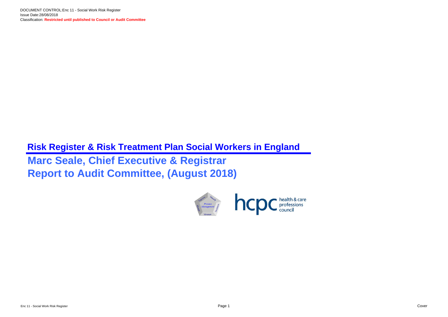# **Risk Register & Risk Treatment Plan Social Workers in England Marc Seale, Chief Executive & Registrar Report to Audit Committee, (August 2018)**

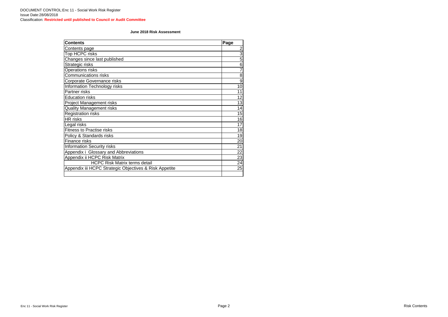| <b>Contents</b>                                        | Page            |
|--------------------------------------------------------|-----------------|
| Contents page                                          |                 |
| Top HCPC risks                                         | $\frac{2}{3}$   |
| Changes since last published                           | $\overline{5}$  |
| Strategic risks                                        | $\overline{6}$  |
| <b>Operations risks</b>                                | 7               |
| <b>Communications risks</b>                            | $\overline{8}$  |
| <b>Corporate Governance risks</b>                      | 9               |
| <b>Information Technology risks</b>                    | 10              |
| Partner risks                                          | 11              |
| <b>Education risks</b>                                 | 12              |
| <b>Project Management risks</b>                        | 13              |
| <b>Quality Management risks</b>                        | 14              |
| <b>Registration risks</b>                              | 15              |
| <b>HR</b> risks                                        | 16              |
| Legal risks                                            | 17              |
| <b>Fitness to Practise risks</b>                       | 18              |
| Policy & Standards risks                               | 19              |
| Finance risks                                          | 20              |
| <b>Information Security risks</b>                      | 21              |
| Appendix i Glossary and Abbreviations                  | 22              |
| Appendix ii HCPC Risk Matrix                           | 23              |
| <b>HCPC Risk Matrix terms detail</b>                   | $\overline{24}$ |
| Appendix iii HCPC Strategic Objectives & Risk Appetite | 25              |
|                                                        |                 |

#### **June 2018 Risk Assessment**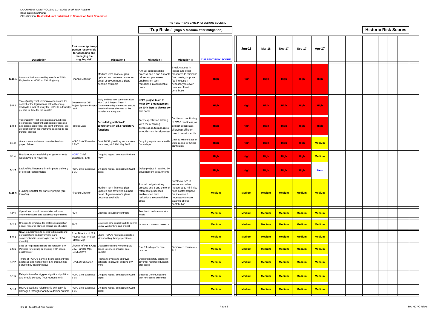|        |                                                                                                                                                                                                                         |                                                                                                        |                                                                                                                                                                                         |                                                                                                                                        | "Top Risks" (High & Medium after mitigation)                                                                                                                     |                           |               |               |               |               |               | <b>Historic Risk Scores</b> |  |
|--------|-------------------------------------------------------------------------------------------------------------------------------------------------------------------------------------------------------------------------|--------------------------------------------------------------------------------------------------------|-----------------------------------------------------------------------------------------------------------------------------------------------------------------------------------------|----------------------------------------------------------------------------------------------------------------------------------------|------------------------------------------------------------------------------------------------------------------------------------------------------------------|---------------------------|---------------|---------------|---------------|---------------|---------------|-----------------------------|--|
|        | <b>Description</b>                                                                                                                                                                                                      | <b>Risk owner (primary</b><br>person responsible<br>for assessing and<br>managing the<br>ongoing risk) | <b>Mitigation I</b>                                                                                                                                                                     | <b>Mitigation II</b>                                                                                                                   | <b>Mitigation III</b>                                                                                                                                            | <b>CURRENT RISK SCORE</b> | <b>Jun-18</b> | Mar-18        | <b>Nov-17</b> | Sep-17        | Apr-17        |                             |  |
| S.15.1 | Lost contribution caused by transfer of SW in<br>England from HCPC to SW (England)                                                                                                                                      | <b>Finance Director</b>                                                                                | Medium term financial plan<br>updated and reviewed as more<br>detail of government's plans<br>become available                                                                          | Annual budget setting<br>process and 6 and 9 month<br>reforecast processes<br>enable short term<br>reductions in controllable<br>costs | Break clauses in<br>leases and other<br>measures to minimise<br>fixed costs; propose<br>fee increase if<br>necessary to cover<br>balance of lost<br>contribution | <b>High</b>               | <b>High</b>   | <b>High</b>   | <b>High</b>   | <b>High</b>   | <b>High</b>   |                             |  |
| S.8.1  | Time Quality That communication around the<br>content of the legislation is not forthcoming,<br>leading to a lack of ability for HCPC to sufficiently Lead<br>prepare in time for the transfer                          | Government / DfE;                                                                                      | Early and frequent communication<br>with D of E Project Team /<br>Project Sponsor Project Government departments to ensure<br>that timeframes allocated to the<br>transfer are adequate | <b>HCPC project team to</b><br>meet SW-E management<br>on 10th Sept to discuss go-<br>live dates                                       |                                                                                                                                                                  | <b>High</b>               | <b>High</b>   | <b>High</b>   | <b>High</b>   | <b>High</b>   | <b>High</b>   |                             |  |
| S.8.4  | Time Quality That expectations around case<br>progression, registrant application processing<br>and course approval at the point of transfer are<br>unrealistic given the timeframe assigned to the<br>transfer process | <b>Project Lead</b>                                                                                    | <b>Early dialog with SW-E</b><br>consultants on all 3 regulatory<br>functions                                                                                                           | Early expectation setting<br>with the receiving<br>organisation to manage a<br>smooth transferral process                              | Continual monitoring<br>of SW-E readiness, as<br>project progresses,<br>allowing sufficient<br>time to reset specific                                            | <b>High</b>               | <b>High</b>   | <b>High</b>   | <b>High</b>   | High          | <b>High</b>   |                             |  |
| S.1.3  | Governments ambitious timetable leads to<br>project failure.                                                                                                                                                            | <b>HCPC Chief Executive</b><br>& SMT                                                                   | Draft SW England key assumptions<br>document, v1.0 16th May 2018                                                                                                                        | On going regular contact with<br>Gvmt depts                                                                                            | Chair to write to Secs of<br>State asking for further<br>clarification                                                                                           | <b>High</b>               | <b>High</b>   | <b>High</b>   | <b>High</b>   | <b>High</b>   | <b>Medium</b> |                             |  |
| S.1.4  | Brexit reduces availability of governments<br>legal advice to New Reg                                                                                                                                                   | <b>HCPC Chief</b><br>Executive / SMT                                                                   | On going regular contact with Gvmt<br>depts                                                                                                                                             |                                                                                                                                        |                                                                                                                                                                  | <b>High</b>               | <b>High</b>   | <b>High</b>   | <b>High</b>   | <b>High</b>   | <b>Medium</b> |                             |  |
| S.1.7  | ack of Parlimentary time impacts delivery<br>of project requirements                                                                                                                                                    | <b>HCPC Chief Executive</b><br>& EMT                                                                   | On going regular contact with Gvmt<br>depts                                                                                                                                             | Delay project if required by<br>governement departments                                                                                |                                                                                                                                                                  | <b>High</b>               | <b>High</b>   | <b>High</b>   | High          | <b>High</b>   | <b>New</b>    |                             |  |
|        | S.15.6 Funding shortfall for transfer project (pre-<br>transfer)                                                                                                                                                        | <b>Finance Director</b>                                                                                | Medium term financial plan<br>updated and reviewed as more<br>detail of government's plans<br>becomes available                                                                         | Annual budget setting<br>process and 6 and 9 month<br>reforecast processes<br>enable short term<br>reductions in controllable<br>costs | Break clauses in<br>leases and other<br>measures to minimise<br>fixed costs; propose<br>fee increase if<br>necessary to cover<br>balance of lost<br>contribution | <b>Medium</b>             | <b>Medium</b> | <b>Medium</b> | <b>Medium</b> | <b>Medium</b> | <b>Medium</b> |                             |  |
| S.2.1  | Operational costs increased due to loss of<br>volume discounts and scalability opportunities                                                                                                                            | <b>SMT</b>                                                                                             | Changes to supplier contracts                                                                                                                                                           | Fee rise to maintain service<br>levels                                                                                                 |                                                                                                                                                                  | <b>Medium</b>             | <b>Medium</b> | <b>Medium</b> | <b>Medium</b> | <b>Medium</b> | <b>Medium</b> |                             |  |
| S.2.2  | Changes to timetable for profession migration<br>disrupt resource planned around specific date                                                                                                                          | <b>SMT</b>                                                                                             | Delay non time critical work to deliver<br>Social Worker England project                                                                                                                | Increase contractor resource                                                                                                           |                                                                                                                                                                  | <b>Medium</b>             | <b>Medium</b> | <b>Medium</b> | <b>Medium</b> | <b>Medium</b> | <b>Medium</b> |                             |  |
| S.5.1  | New Regulator fails to deliver to timetable and<br>our operations and performance are<br>compromised (as awaiting trnsfer out of SW<br>records)                                                                         | Exec Director of IT &<br>Respources, Project<br>Prtfolio Mgr                                           | Share HCPC's migration expertise<br>with new Regulator project team                                                                                                                     |                                                                                                                                        |                                                                                                                                                                  | <b>Medium</b>             | <b>Medium</b> | <b>Medium</b> | <b>Medium</b> | <b>Medium</b> | <b>Medium</b> |                             |  |
| S.6.1  | Loss of Registrants results in shortfall of SW<br>Partners for existing or ongoing FTP cases,<br>post transfer                                                                                                          | Director of HR & Org<br>Dev, Partner Mgr,<br>Head of FTP                                               | Outsource existing / ongoing SW<br>cases to service provider post<br>transfer                                                                                                           | D of E funding of service<br>provider                                                                                                  | Outsourced contractors<br><b>SLA</b>                                                                                                                             | <b>Medium</b>             | <b>Medium</b> | <b>Medium</b> | <b>Medium</b> | <b>Medium</b> | <b>Medium</b> |                             |  |
| S.7.2  | Timing of HCPC's planned disengagement with<br>approvals and monitoring of SW programmes<br>disrupted by transfer delays                                                                                                | Head of Education                                                                                      | Reorganise visit and approval<br>schedule to allow for ongoing SW<br>vork.                                                                                                              | Obtain temporary contractor<br>cover for required education<br>processes                                                               |                                                                                                                                                                  | <b>Medium</b>             | <b>Medium</b> | <b>Medium</b> | <b>Medium</b> | <b>Medium</b> | <b>Medium</b> |                             |  |
| S.1.5  | Delay in transfer triggers significant political<br>and media scrutiny (FOI requests etc)                                                                                                                               | <b>HCPC Chief Executive</b><br>& SMT                                                                   | On going regular contact with Gvmt<br>depts                                                                                                                                             | <b>Bespoke Communications</b><br>plan for specific outcomes                                                                            |                                                                                                                                                                  | <b>Medium</b>             | <b>Medium</b> | <b>Medium</b> | <b>Medium</b> | <b>Medium</b> | <b>Medium</b> |                             |  |
| S.1.6  | HCPC's working relationship with DoH is<br>damaged through inability to deliver on time & SMT                                                                                                                           | <b>HCPC Chief Executive</b>                                                                            | On going regular contact with Gvmt<br>depts                                                                                                                                             |                                                                                                                                        |                                                                                                                                                                  | <b>Medium</b>             | <b>Medium</b> | <b>Medium</b> | <b>Medium</b> | <b>Medium</b> | <b>Medium</b> |                             |  |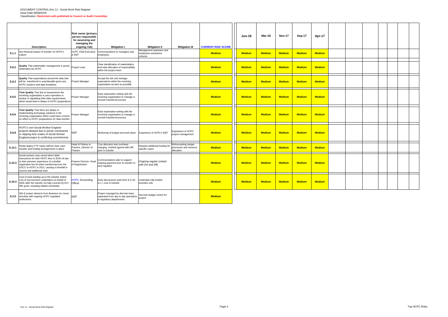|        |                                                                                                                                                                                                                                                                       | <b>Risk owner (primary</b><br>person responsible<br>for assessing and<br>managing the |                                                                                                           |                                                           |                                                              |                           | <b>Jun-18</b> | Mar-18        | <b>Nov-17</b> | Sep-17        | Apr-17        |  |  |  |  |
|--------|-----------------------------------------------------------------------------------------------------------------------------------------------------------------------------------------------------------------------------------------------------------------------|---------------------------------------------------------------------------------------|-----------------------------------------------------------------------------------------------------------|-----------------------------------------------------------|--------------------------------------------------------------|---------------------------|---------------|---------------|---------------|---------------|---------------|--|--|--|--|
|        | <b>Description</b>                                                                                                                                                                                                                                                    | ongoing risk)                                                                         | <b>Mitigation I</b>                                                                                       | <b>Mitigation II</b>                                      | <b>Mitigation III</b>                                        | <b>CURRENT RISK SCORE</b> |               |               |               |               |               |  |  |  |  |
| S.1.1  | Non financial impact of transfer on HCPC's<br>culture                                                                                                                                                                                                                 | <b>ICPC Chief Executive</b><br><b>SMT</b>                                             | Communications to managers and<br>employees                                                               | Management openness and<br>employees assistance<br>scheme |                                                              | <b>Medium</b>             | <b>Medium</b> | <b>Medium</b> | <b>Medium</b> | <b>Medium</b> | <b>Medium</b> |  |  |  |  |
| S.8.2  | Quality That stakeholder management is poorly Project Lead<br>undertaken by HCPC                                                                                                                                                                                      |                                                                                       | Clear idenitifcation of stakeholders<br>and early allocation of responsibility<br>within the project team |                                                           |                                                              | <b>Medium</b>             | <b>Medium</b> | <b>Medium</b> | <b>Medium</b> | <b>Medium</b> | <b>Medium</b> |  |  |  |  |
| S.8.3  | Quality That expectations around the data that<br>will be transferred is unachievable given any<br>HCPC systems and data limitations                                                                                                                                  | Project Manager                                                                       | Accept the risk and manage<br>expecations within the receiving<br>organisation as best as possible        |                                                           |                                                              | <b>Medium</b>             | <b>Medium</b> | <b>Medium</b> | <b>Medium</b> | <b>Medium</b> | <b>Medium</b> |  |  |  |  |
| S.8.5  | Time Quality That due to inexperience the<br>eceiving organisation is unco-operative or<br>unclear in stipulating their data requirements,<br>which would lead to delays in HCPC preparations                                                                         | Project Manager                                                                       | Early expectation setting with the<br>receiving organisation to manage a<br>smooth transferral process    |                                                           |                                                              | <b>Medium</b>             | <b>Medium</b> | <b>Medium</b> | <b>Medium</b> | <b>Medium</b> | <b>Medium</b> |  |  |  |  |
| S.8.6  | Time Quality That there are delays in<br>mplementing technology solutions in the<br>receiving organisation which could have a knock<br>on effect to HCPC preparations for data transfer                                                                               | Project Manager                                                                       | Early expectation setting with the<br>receiving organisation to manage a<br>smooth transferral process    |                                                           |                                                              | <b>Medium</b>             | <b>Medium</b> | <b>Medium</b> | <b>Medium</b> | <b>Medium</b> | <b>Medium</b> |  |  |  |  |
| S.8.8  | <b>ICPC's non-Social Worker England</b><br>projects delayed due to poorly constrained<br>or slipping time scales of Social Worker<br>England project & conflicting commitments                                                                                        | <b>SMT</b>                                                                            | Monitoring of budget and work plans                                                                       | Experience of HCPC's EMT                                  | Experience of HCPC<br>project management                     | <b>Medium</b>             | <b>Medium</b> | <b>Medium</b> | <b>Medium</b> | <b>Medium</b> | <b>Medium</b> |  |  |  |  |
| S.13.1 | Retain legacy FTP cases without clear case<br>transfer and funding arrangements in place                                                                                                                                                                              | lead of Fitness to<br>Practice, Director of<br>Finance                                | Cost allocation and overhead<br>charging method agreed with DfE<br>prior to transfer                      | Request additional funding for<br>specific cases          | Reforecasting budget<br>processes and resource<br>allocation | <b>Medium</b>             | <b>Medium</b> | <b>Medium</b> | <b>Medium</b> | <b>Medium</b> | <b>Medium</b> |  |  |  |  |
| S.15.3 | Social workers may cancel direct debit<br>instructions for their HCPC fees in 2018-19 due<br>o their previous experience of a double<br>egistration fee hit when transferring from the<br>GSCC to HCPC in 2012, causing a shortfall in<br>income and additional work. | inance Director, Head<br>of Registration                                              | Communications plan to support<br>ongoing payment prior to transfer to<br>new regulator                   | Ongoing regular contact<br>with DH and DfE                |                                                              | <b>Medium</b>             | <b>Medium</b> | <b>Medium</b> | <b>Medium</b> | <b>Medium</b> | <b>Medium</b> |  |  |  |  |
| S.15.4 | Cost of work leading up to the transfer and/or<br>cost of any functions undertaken on behalf of<br>SWE after the transfer not fully covered by DH / Officer<br>DfE grant, including related overheads                                                                 | <b>ICPC</b> Accounting                                                                | Early discussions woth DoH & D oE<br>w.r.t. cost of transfer                                              | Undertake fully funded<br>activities only                 |                                                              | <b>Medium</b>             | <b>Medium</b> | <b>Medium</b> | <b>Medium</b> | <b>Medium</b> | <b>Medium</b> |  |  |  |  |
| S.2.5  | SW-E project detracts from Business As Usual<br>activities with ongoing HCPC regulated<br>professions                                                                                                                                                                 | <b>SMT</b>                                                                            | Project managed by discrete team,<br>seperated from day to day operations<br>in regulatory departments    | Discrete budget control for<br>project                    |                                                              | <b>Medium</b>             |               |               |               |               |               |  |  |  |  |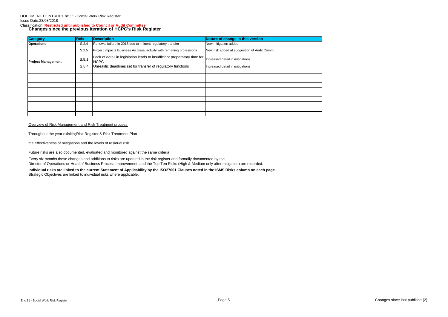# Classification: **Restricted until published to Council or Audit Committee Changes since the previous iteration of HCPC's Risk Register**

| <b>Category</b>           | Ref#  | <b>Description</b>                                                                      | Nature of change in this version           |
|---------------------------|-------|-----------------------------------------------------------------------------------------|--------------------------------------------|
| <b>Operations</b>         | S.2.4 | Renewal failure in 2018 due to iminent regulatory transfer                              | New mitigation added                       |
|                           | S.2.5 | Project impacts Business As Usual activity with remaning professions                    | New risk added at suggestion of Audit Comm |
| <b>Project Management</b> | S.8.1 | Lack of detail in legislation leads to insufficient preparatory time for<br><b>HCPC</b> | Increased detail in mitigations            |
|                           | S.8.4 | Unrealitic deadlines set for transfer of regulatory functions                           | Increased detail in mitigations            |
|                           |       |                                                                                         |                                            |
|                           |       |                                                                                         |                                            |
|                           |       |                                                                                         |                                            |
|                           |       |                                                                                         |                                            |
|                           |       |                                                                                         |                                            |
|                           |       |                                                                                         |                                            |
|                           |       |                                                                                         |                                            |
|                           |       |                                                                                         |                                            |
|                           |       |                                                                                         |                                            |
|                           |       |                                                                                         |                                            |

#### Overview of Risk Management and Risk Treatment process

Throughout the year exisiting Risk Register & Risk Treatment Plan

the effectiveness of mitigations and the levels of residual risk.

Future risks are also documented, evaluated and monitored against the same criteria.

Every six months these changes and additions to risks are updated in the risk register and formally documented by the

Director of Operations or Head of Business Process Improvement, and the Top Ten Risks (High & Medium only after mitigation) are recorded.

**Individual risks are linked to the current Statement of Applicability by the ISO27001 Clauses noted in the ISMS Risks column on each page.** Strategic Objectives are linked to individual risks where applicable.

Enc 11 - Social Work Risk Register Page 5 Changes since last publishe (2)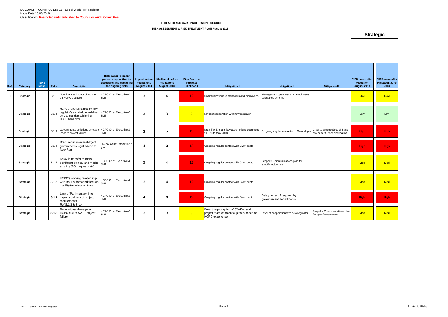| Ref | Category         | <b>ISMS</b><br><b>Risks</b> | Ref # | <b>Description</b>                                                                                                            | <b>Risk owner (primary</b><br>person responsible for<br>assessing and managing<br>the ongoing risk) | Impact before<br>mitigations<br><b>August 2018</b> | <b>Likelihood before</b><br>mitigations<br>August 2018 | $Risk Score =$<br>Impact x<br>Likelihood | <b>Mitigation I</b>                                                                                        | <b>Mitigation II</b>                                    | <b>Mitigation III</b>                                               | <b>RISK score after</b><br><b>Mitigation</b><br>August 2018 | <b>RISK score after</b><br><b>Mitigation June</b><br>2018 |
|-----|------------------|-----------------------------|-------|-------------------------------------------------------------------------------------------------------------------------------|-----------------------------------------------------------------------------------------------------|----------------------------------------------------|--------------------------------------------------------|------------------------------------------|------------------------------------------------------------------------------------------------------------|---------------------------------------------------------|---------------------------------------------------------------------|-------------------------------------------------------------|-----------------------------------------------------------|
|     | <b>Strategic</b> |                             | S.1.1 | Non financial impact of transfer<br>on HCPC's culture                                                                         | <b>HCPC Chief Executive &amp;</b><br><b>SMT</b>                                                     | 3                                                  | 4                                                      | 12 <sub>1</sub>                          | Communications to managers and employees                                                                   | Management openness and employees<br>assistance scheme  |                                                                     | <b>Med</b>                                                  | <b>Med</b>                                                |
|     | <b>Strategic</b> |                             | S.1.2 | HCPC's repution tainted by new<br>regulator's early failure to deliver<br>service standards, blaming<br><b>HCPC</b> hand over | <b>HCPC Chief Executive &amp;</b><br><b>SMT</b>                                                     | 3                                                  | 3                                                      | 9                                        | Level of cooperation with new regulator                                                                    |                                                         |                                                                     | Low                                                         | Low                                                       |
|     |                  |                             |       |                                                                                                                               |                                                                                                     |                                                    |                                                        |                                          |                                                                                                            |                                                         |                                                                     |                                                             |                                                           |
|     | <b>Strategic</b> |                             | S.1.3 | Governments ambitious timetable HCPC Chief Executive &<br>leads to project failure.                                           | <b>SMT</b>                                                                                          | 3                                                  | 5                                                      | 15                                       | Draft SW England key assumptions document,<br>v1.0 16th May 2018                                           | On going regular contact with Gvmt depts                | Chair to write to Secs of State<br>asking for further clarification | <b>High</b>                                                 | <b>High</b>                                               |
|     | <b>Strategic</b> |                             |       | Brexit reduces availability of<br>S.1.4 governments legal advice to<br>New Reg                                                | HCPC Chief Executive /<br><b>SMT</b>                                                                | $\boldsymbol{\Lambda}$                             | 3                                                      | 12 <sub>1</sub>                          | On going regular contact with Gvmt depts                                                                   |                                                         |                                                                     | <b>High</b>                                                 | <b>High</b>                                               |
|     | <b>Strategic</b> |                             |       | Delay in transfer triggers<br>S.1.5 significant political and media<br>scrutiny (FOI requests etc)                            | <b>HCPC Chief Executive &amp;</b><br><b>SMT</b>                                                     | 3                                                  | 4                                                      | 12 <sub>1</sub>                          | On going regular contact with Gvmt depts                                                                   | Bespoke Communications plan for<br>specific outcomes    |                                                                     | <b>Med</b>                                                  | <b>Med</b>                                                |
|     | <b>Strategic</b> |                             |       | HCPC's working relationship<br>S.1.6 with DoH is damaged through<br>inability to deliver on time                              | <b>HCPC Chief Executive &amp;</b><br><b>SMT</b>                                                     | 3                                                  | $\overline{4}$                                         | 12 <sub>1</sub>                          | On going regular contact with Gvmt depts                                                                   |                                                         |                                                                     | Med                                                         | <b>Med</b>                                                |
|     | <b>Strategic</b> |                             |       | Lack of Parlimentary time<br><b>S.1.7</b> impacts delivery of project<br>requirements                                         | <b>HCPC Chief Executive &amp;</b><br><b>SMT</b>                                                     | 4                                                  | $\mathbf{3}$                                           | 12 <sub>1</sub>                          | On going regular contact with Gvmt depts                                                                   | Delay project if required by<br>governement departments |                                                                     | <b>High</b>                                                 | <b>High</b>                                               |
|     |                  |                             |       | Ref S.1.3 & S.1.4                                                                                                             |                                                                                                     |                                                    |                                                        |                                          |                                                                                                            |                                                         |                                                                     |                                                             |                                                           |
|     | <b>Strategic</b> |                             |       | Reputational damage to<br>S.1.8 HCPC due to SW-E project<br>failure                                                           | <b>HCPC Chief Executive &amp;</b><br><b>SMT</b>                                                     | 3                                                  | 3                                                      | 9                                        | Proactive prompting of SW-England<br>project team of potential pitfalls based on<br><b>HCPC</b> experience | Level of cooperation with new regulator                 | Bespoke Communications plan<br>for specific outcomes                | Med                                                         | <b>Med</b>                                                |

#### **RISK ASSESSMENT & RISK TREATMENT PLAN August 2018**

### **Strategic**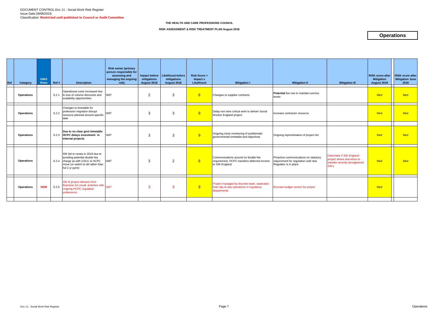| Ref | Category          | <b>ISMS</b><br><b>Risks</b> | Ref#  | <b>Description</b>                                                                                                                        | <b>Risk owner (primary</b><br>person responsible for<br>assessing and<br>managing the ongoing<br>risk) | Impact before<br>mitigations<br>August 2018 | Likelihood before<br>mitigations<br>August 2018 | $Risk Score =$<br>Impact x<br>Likelihood | <b>Mitigation I</b>                                                                                    | <b>Mitigation II</b>                                                                                   | <b>Mitigation III</b>                                                                     | <b>RISK score after</b><br><b>Mitigation</b><br>August 2018 | <b>RISK score after</b><br><b>Mitigation June</b><br>2018 |
|-----|-------------------|-----------------------------|-------|-------------------------------------------------------------------------------------------------------------------------------------------|--------------------------------------------------------------------------------------------------------|---------------------------------------------|-------------------------------------------------|------------------------------------------|--------------------------------------------------------------------------------------------------------|--------------------------------------------------------------------------------------------------------|-------------------------------------------------------------------------------------------|-------------------------------------------------------------|-----------------------------------------------------------|
|     | <b>Operations</b> |                             |       | Operational costs increased due<br>S.2.1 to loss of volume discounts and<br>scalability opportunities                                     | <b>SMT</b>                                                                                             | 2                                           | 3                                               | 6 <sup>1</sup>                           | Changes to supplier contracts                                                                          | Potential fee rise to maintain service<br>levels                                                       |                                                                                           | <b>Med</b>                                                  | <b>Med</b>                                                |
|     | <b>Operations</b> |                             | S.2.2 | Changes to timetable for<br>profession migration disrupt<br>resource planned around specific SMT<br>date                                  |                                                                                                        | 3                                           | 3                                               | 9                                        | Delay non time critical work to deliver Social<br>Worker England project                               | Increase contractor resource                                                                           |                                                                                           | <b>Med</b>                                                  | <b>Med</b>                                                |
|     |                   |                             |       | Due to no clear govt timetable                                                                                                            |                                                                                                        |                                             |                                                 |                                          |                                                                                                        |                                                                                                        |                                                                                           |                                                             |                                                           |
|     | <b>Operations</b> |                             |       | S.2.3 HCPC delays investment in<br>internal projects                                                                                      | <b>SMT</b>                                                                                             | 3                                           | 3                                               | 9                                        | Ongoing close monitoring of problematic<br>governmental timetable and objectives                       | Ongoing reprioritisation of project list                                                               |                                                                                           | Med                                                         | <b>Med</b>                                                |
|     | <b>Operations</b> |                             |       | SW fail to renew in 2018 due to<br>avoiding potential double fee<br>S.2.4 charge as with GSCC & HCPC<br>move (or switch to dd rather than | <b>SMT</b>                                                                                             | 3                                           | $\overline{2}$                                  | 6 <sup>1</sup>                           | Communications around no double fee<br>requirement, HCPC transfers deferred income<br>to SW-England    | Proactive communications on statutory<br>requirement for regulation until new<br>Regulator is in place | Determine if SW-England<br>project allows discretion to<br>transfer recently deregistered | Med                                                         | <b>Med</b>                                                |
|     |                   |                             |       | full 2 yr pymt)                                                                                                                           |                                                                                                        |                                             |                                                 |                                          |                                                                                                        |                                                                                                        | SW's                                                                                      |                                                             |                                                           |
|     | <b>Operations</b> | <b>NEW</b>                  |       | SW-E project detracts from<br>S.2.5 Business As Usual activities with SMT<br>ongoing HCPC regulated<br>professions                        |                                                                                                        | 3                                           | 3                                               | 9 <sup>°</sup>                           | Project managed by discrete team, seperated<br>from day to day operations in regulatory<br>departments | Discrete budget control for project                                                                    |                                                                                           | <b>Med</b>                                                  |                                                           |
|     |                   |                             |       |                                                                                                                                           |                                                                                                        |                                             |                                                 |                                          |                                                                                                        |                                                                                                        |                                                                                           |                                                             |                                                           |

**RISK ASSESSMENT & RISK TREATMENT PLAN August 2018**

## **Operations**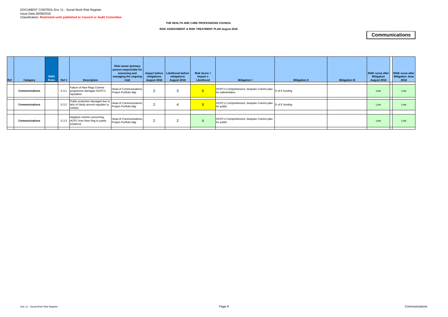| Ref | Category              | <b>ISMS</b><br><b>Risks</b> | Ref # | <b>Description</b>                                                                 | <b>Risk owner (primary</b><br>person responsible for<br>assessing and<br>  managing the ongoing<br>risk) | mitigations<br>August 2018 | Impact before   Likelihood before<br>mitigations<br>August 2018 | $Risk Score =$<br>Impact x<br>Likelihood | <b>Mitigation I</b>                                                                                  | <b>Mitigation II</b> | <b>Mitigation III</b> | <b>RISK score after</b><br><b>Mitigation</b><br>August 2018 | <b>RISK score after</b><br><b>Mitigation June</b><br>2018 |
|-----|-----------------------|-----------------------------|-------|------------------------------------------------------------------------------------|----------------------------------------------------------------------------------------------------------|----------------------------|-----------------------------------------------------------------|------------------------------------------|------------------------------------------------------------------------------------------------------|----------------------|-----------------------|-------------------------------------------------------------|-----------------------------------------------------------|
|     | <b>Communications</b> |                             | S.3.1 | Failure of New Regs Comms<br>programme damages HCPC's<br>reputation                | Head of Communications,<br>Project Portfolio Mgr                                                         |                            |                                                                 | $6\overline{6}$                          | $\sqrt{\text{HCPC}}$ 's Comprehensive, bespoke Comms plan $\vert_D$ of E funding<br>for stakeholders |                      |                       | Low                                                         | Low                                                       |
|     | <b>Communications</b> |                             | S.3.2 | Public protection damaged due to<br>lack of clarity around regulator to<br>contact | Head of Communications,<br>Project Portfolio Mgr                                                         |                            |                                                                 | 8 <sup>°</sup>                           | $\sqrt{\text{HCPC}}$ 's Comprehensive, bespoke Comms plan $\vert_D$ of E funding<br>for public       |                      |                       | Low                                                         | Low                                                       |
|     | <b>Communications</b> |                             | S.3.3 | Negative comms concerning<br>HCPC from New Reg to justify<br>existence             | Head of Communications,<br>Project Portfolio Mgr                                                         |                            |                                                                 |                                          | HCPC's Comprehensive, bespoke Comms plan<br>for public                                               |                      |                       | Low                                                         | Low                                                       |
|     |                       |                             |       |                                                                                    |                                                                                                          |                            |                                                                 |                                          |                                                                                                      |                      |                       |                                                             |                                                           |

**RISK ASSESSMENT & RISK TREATMENT PLAN August 2018**

### **Communications**

#### **THE HEALTH AND CARE PROFESSIONS COUNCIL**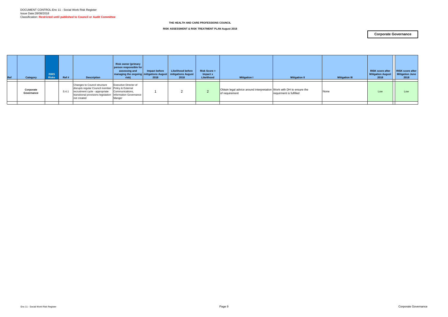| Ref | Category                | <b>ISMS</b><br><b>Risks</b> | Ref # | <b>Description</b>                                                                                                                                                                                                  | <b>Risk owner (primary</b><br>person responsible for<br>assessing and<br>  managing the ongoing   mitigations August   mitigations August  <br>risk) | Impact before<br>2018 | <b>Likelihood before</b><br>2018 | <b>Risk Score =</b><br>Impact x<br>Likelihood | <b>Mitigation I</b>                                                                    | <b>Mitigation II</b>    | <b>Mitigation III</b> | <b>RISK score after</b><br><b>Mitigation Augus</b><br>2018 | <b>RISK score after</b><br><b>Mitigation June</b><br>2018 |
|-----|-------------------------|-----------------------------|-------|---------------------------------------------------------------------------------------------------------------------------------------------------------------------------------------------------------------------|------------------------------------------------------------------------------------------------------------------------------------------------------|-----------------------|----------------------------------|-----------------------------------------------|----------------------------------------------------------------------------------------|-------------------------|-----------------------|------------------------------------------------------------|-----------------------------------------------------------|
|     | Corporate<br>Governance |                             | S.4.  | Changes to Council structure<br>disrupts regular Council member Policy & External<br>recruitment cycle - appropriate Communications,<br>transitional provisions legislation   Information Governance<br>not created | <b>Executive Director of</b><br>Manger                                                                                                               |                       |                                  |                                               | Obtain legal advice around interpretation Work with DH to ensure the<br>of requirement | requirment is fulfilled | None                  | Low                                                        | Low                                                       |

**RISK ASSESSMENT & RISK TREATMENT PLAN August 2018**

### **Corporate Governance**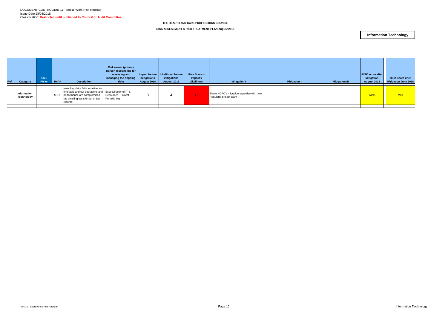| Ref | Category                  | <b>ISMS</b><br><b>Risks</b> | Ref # | <b>Description</b>                                                                                                                                                        | <b>Risk owner (primary</b><br>person responsible for<br>assessing and<br>  managing the ongoing  <br>risk) | mitigations<br>August 2018 | Impact before   Likelihood before<br>mitigations<br>August 2018 | <b>Risk Score =</b><br>Impact x<br>Likelihood | <b>Mitigation I</b>                                                 | <b>Mitigation II</b> | <b>Mitigation III</b> | <b>RISK score after</b><br><b>Mitigation</b><br>August 2018 | <b>RISK score after</b><br><b>Mitigation June 2018</b> |
|-----|---------------------------|-----------------------------|-------|---------------------------------------------------------------------------------------------------------------------------------------------------------------------------|------------------------------------------------------------------------------------------------------------|----------------------------|-----------------------------------------------------------------|-----------------------------------------------|---------------------------------------------------------------------|----------------------|-----------------------|-------------------------------------------------------------|--------------------------------------------------------|
|     | Information<br>Technology |                             | S.5.1 | New Regulator fails to deliver to<br>timetable and our operations and Exec Director of IT &<br>performance are compromised<br>(as awaiting transfer out of SW<br>records) | Resources, Project<br>Portfolio Mgr                                                                        |                            |                                                                 | 12 <sub>1</sub>                               | Share HCPC's migration expertise with new<br>Regulator project team |                      |                       | Med                                                         | <b>Med</b>                                             |
|     |                           |                             |       |                                                                                                                                                                           |                                                                                                            |                            |                                                                 |                                               |                                                                     |                      |                       |                                                             |                                                        |

**RISK ASSESSMENT & RISK TREATMENT PLAN August 2018**

### **Information Technology**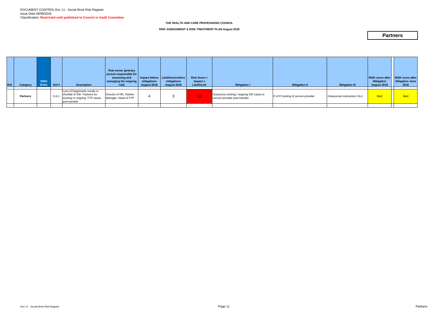| Ref | Category        | <b>ISMS</b><br><b>Risks</b> | Ref#  | <b>Description</b>                                                                                                | <b>Risk owner (primary</b><br>person responsible for<br>assessing and<br>  managing the ongoing  <br>risk) | mitigations<br>August 2018 | Impact before   Likelihood before  <br>mitigations<br>August 2018 | $Risk Score =$<br>Impact x<br>Likelihood | <b>Mitigation I</b>                                                        | <b>Mitigation II</b>               | <b>Mitigation III</b>      | <b>RISK</b> score after<br><b>Mitigation</b><br>August 2018 | <b>RISK score after</b><br><b>Mitigation June</b><br>2018 |
|-----|-----------------|-----------------------------|-------|-------------------------------------------------------------------------------------------------------------------|------------------------------------------------------------------------------------------------------------|----------------------------|-------------------------------------------------------------------|------------------------------------------|----------------------------------------------------------------------------|------------------------------------|----------------------------|-------------------------------------------------------------|-----------------------------------------------------------|
|     | <b>Partners</b> |                             | S.6.1 | Loss of Registrants results in<br>shortfall of SW Partners for<br>existing or ongoing FTP cases,<br>post transfer | Director of HR, Partner<br>Manager, Head of FTP                                                            |                            |                                                                   | 12 <sub>1</sub>                          | Outsource existing / ongoing SW cases to<br>service provider post transfer | D of E funding of service provider | Outsourced contractors SLA | Med                                                         | Med                                                       |
|     |                 |                             |       |                                                                                                                   |                                                                                                            |                            |                                                                   |                                          |                                                                            |                                    |                            |                                                             |                                                           |

**RISK ASSESSMENT & RISK TREATMENT PLAN August 2018**

### **Partners**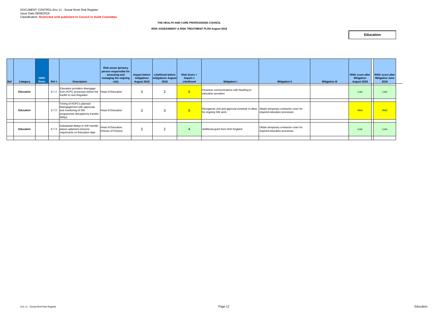| <b>Ref</b> | Category  | <b>ISMS</b><br><b>Risks</b> | Ref # | <b>Description</b>                                                                                                                   | <b>Risk owner (primary</b><br>person responsible for<br>assessing and<br>managing the ongoing<br>risk) | mitigations<br>August 2018 | Impact before   Likelihood before<br><b>mitigations August</b><br>2018 | <b>Risk Score =</b><br>Impact x<br>Likelihood | <b>Mitigation I</b>                                                                                           | <b>Mitigation II</b>                                                  | <b>Mitigation III</b> | <b>RISK score after RISK score after</b><br><b>Mitigation</b><br>August 2018 | <b>Mitigation June</b><br>2018 |
|------------|-----------|-----------------------------|-------|--------------------------------------------------------------------------------------------------------------------------------------|--------------------------------------------------------------------------------------------------------|----------------------------|------------------------------------------------------------------------|-----------------------------------------------|---------------------------------------------------------------------------------------------------------------|-----------------------------------------------------------------------|-----------------------|------------------------------------------------------------------------------|--------------------------------|
|            | Education |                             | S.7.1 | Education providers disengage<br>from HCPC processes before the Head of Education<br>tranfer to new Regulator                        |                                                                                                        | 3                          | $\sim$                                                                 | 6                                             | Proactive communications with NewReg to<br>education providers                                                |                                                                       |                       | Low                                                                          | Low                            |
|            | Education |                             |       | Timing of HCPC's planned<br>disengagement with approvals<br>S.7.2 and monitoring of SW<br>programmes disrupted by transfer<br>delays | <b>Head of Education</b>                                                                               | 3                          |                                                                        | 9                                             | Reorganise visit and approval schedule to allow Obtain temporary contractor cover for<br>for ongoing SW work. | required education processes                                          |                       | Med                                                                          | Med                            |
|            | Education |                             |       | Substantial delays to SW transfer<br>S.7.3 places uplanned resource<br>requirments on Education dept                                 | Head of Education,<br>Director of Finance                                                              | $\overline{2}$             |                                                                        |                                               | Additional grant from DoH England                                                                             | Obtain temporary contractor cover for<br>required education processes |                       | Low                                                                          | Low                            |

#### **RISK ASSESSMENT & RISK TREATMENT PLAN August 2018**

#### **Education**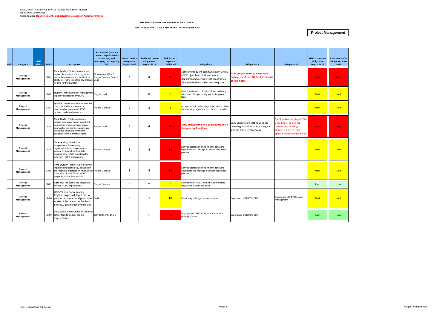**RISK score after Mitigation June 2018**

| Ref                      | Category              | <b>ISMS</b><br><b>Risks</b> | Ref #<br><b>Description</b>                                                                                                                                                                                                                | <b>Risk owner (primary</b><br>person responsible for<br>assessing and<br>managing the on-going<br>risk) | <b>Impact before</b><br>mitigations<br>August 2018 | <b>Likelihood before</b><br>mitigations<br>August 2018 | <b>Risk Score =</b><br>Impact x<br>Likelihood | <b>Mitigation I</b>                                                                                                                                          | <b>Mitigation II</b>                                                                                   | <b>Mitigation III</b>                                                                                                                      | <b>RISK score after</b><br><b>Mitigation</b><br>August 2018 | <b>RISK scor</b><br><b>Mitigation</b><br>2018 |
|--------------------------|-----------------------|-----------------------------|--------------------------------------------------------------------------------------------------------------------------------------------------------------------------------------------------------------------------------------------|---------------------------------------------------------------------------------------------------------|----------------------------------------------------|--------------------------------------------------------|-----------------------------------------------|--------------------------------------------------------------------------------------------------------------------------------------------------------------|--------------------------------------------------------------------------------------------------------|--------------------------------------------------------------------------------------------------------------------------------------------|-------------------------------------------------------------|-----------------------------------------------|
|                          | Project<br>Management |                             | Time Quality That communication<br>around the content of the legislation is<br>S.8.1<br>not forthcoming, leading to a lack of<br>ability for HCPC to sufficiently prepare Lead<br>n time for the transfer                                  | Government / D o E;<br>Project Sponsor Project                                                          | $\overline{4}$                                     | 4                                                      | 16 <sup>°</sup>                               | Early and frequent communication with D<br>of E Project Team / Government<br>departments to ensure that timeframes<br>allocated to the transfer are adequate | <b>ICPC project team to meet SW-E</b><br>nanagement on 10th Sept to discuss<br>go-live dates           |                                                                                                                                            | <b>High</b>                                                 | High                                          |
|                          | Project<br>Management |                             | Quality That stakeholder management Project Lead<br>S.8.2<br>s poorly undertaken by HCPC                                                                                                                                                   |                                                                                                         | 3                                                  | 3                                                      | 9                                             | Clear idenitifcation of stakeholders and early<br>allocation of responsibility within the project<br>team                                                    |                                                                                                        |                                                                                                                                            | Med                                                         | Med                                           |
|                          | Project<br>Management |                             | <b>Quality</b> That expectations around the<br>data that will be transferred is<br>S.8.3<br>unachievable given any HCPC<br>systems and data limitations                                                                                    | Project Manager                                                                                         | $\overline{2}$                                     | 3                                                      | 6                                             | Accept the risk and manage expecations within<br>the receiving organisation as best as possible                                                              |                                                                                                        |                                                                                                                                            | Med                                                         | Med                                           |
|                          | Project<br>Management |                             | <b>Time Quality That expectations</b><br>around case progression, registrant<br>application processing and course<br>S.8.4<br>approval at the point of transfer are<br>unrealistic given the timeframe<br>assigned to the transfer process | Project Lead                                                                                            | 4                                                  | 4                                                      | 16 <sub>1</sub>                               | Early dialog with SW-E consultants on all<br>3 regulatory functions                                                                                          | Early expectation setting with the<br>receiving organisation to manage a<br>smooth transferral process | Continual monitoring of SW-<br>E readiness, as project<br>progresses, allowing<br>sufficient time to reset<br>specific migration deadlines | High:                                                       | High                                          |
|                          | Project<br>Management |                             | Time Quality That due to<br>nexperience the receiving<br>organisation is unco-operative or<br>S.8.5<br>unclear in stipulating their data<br>requirements, which would lead to<br>delays in HCPC preparations                               | Project Manager                                                                                         | 3                                                  | 4                                                      | 12 <sub>1</sub>                               | Early expectation setting with the receiving<br>organisation to manage a smooth transferral<br>process                                                       |                                                                                                        |                                                                                                                                            | Med                                                         | Med                                           |
|                          | Project<br>Management |                             | Time Quality That there are delays in<br>implementing technology solutions in<br>the receiving organisation which could Project Manager<br>S.8.6<br>have a knock on effect to HCPC<br>preparations for data transfer                       |                                                                                                         | 3                                                  | Δ                                                      | 12 <sub>1</sub>                               | Early expectation setting with the receiving<br>organisation to manage a smooth transferral<br>process                                                       |                                                                                                        |                                                                                                                                            | Med                                                         | Med                                           |
|                          | Project<br>Management |                             | Cost That the cost of the project will<br>S.8.7<br>excede HCPC expectations                                                                                                                                                                | Project Sponsor                                                                                         | 3                                                  | $\overline{2}$                                         | $6^{\circ}$                                   | Experience of HCPC with inbound transfers<br>elps predict outbound costs                                                                                     |                                                                                                        |                                                                                                                                            | Low                                                         | Low                                           |
|                          | Project<br>Management |                             | <b>HCPC's non-Social Worker</b><br>England projects delayed due to<br>poorly constrained or slipping time<br>S.8.8<br>scales of Social Worker England<br>project & conflicting commitments                                                 | <b>SMT</b>                                                                                              | 5                                                  | $\overline{2}$                                         | 10 <sup>°</sup>                               | Monitoring of budget and work plans                                                                                                                          | Experience of HCPC's SMT                                                                               | Experience of HCPC project<br>management                                                                                                   | Med                                                         | Mec                                           |
| $\overline{\phantom{0}}$ | Project<br>Management |                             | Impact and effectivness of Transfer<br>Order fails to deliver project<br>S.8.9<br>requirements                                                                                                                                             | Government / D o E                                                                                      | 5                                                  | 5                                                      | 25                                            | Engagement of HCPC legal advisors with<br>drafting of order.                                                                                                 | Experience of HCPC's SMT                                                                               |                                                                                                                                            | Low                                                         | Low                                           |
|                          |                       |                             |                                                                                                                                                                                                                                            |                                                                                                         |                                                    |                                                        |                                               |                                                                                                                                                              |                                                                                                        |                                                                                                                                            |                                                             |                                               |

#### **THE HEALTH AND CARE PROFESSIONS COUNCIL**

#### **RISK ASSESSMENT & RISK TREATMENT PLAN August 2018**

**Project Management**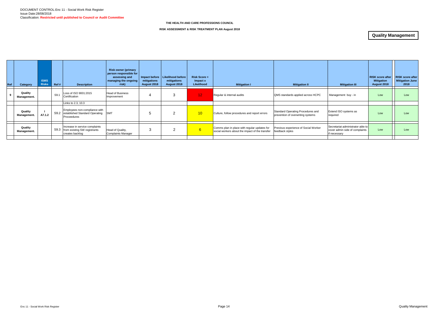| Ref | Category               | <b>ISMS</b><br><b>Risks</b> | Ref # | <b>Description</b>                                                                      | <b>Risk owner (primary</b><br>person responsible for<br>assessing and<br>managing the ongoing<br>risk) | Impact before<br>mitigations<br><b>August 2018</b> | <b>Likelihood before</b><br>mitigations<br>August 2018 | $Risk Score =$<br>Impact x<br>Likelihood | <b>Mitigation I</b>                                                                             | <b>Mitigation II</b>                                                   | <b>Mitigation III</b>                                                               | <b>RISK score after</b><br><b>Mitigation</b><br><b>August 2018</b> | <b>RISK score after</b><br><b>Mitigation June</b><br>2018 |
|-----|------------------------|-----------------------------|-------|-----------------------------------------------------------------------------------------|--------------------------------------------------------------------------------------------------------|----------------------------------------------------|--------------------------------------------------------|------------------------------------------|-------------------------------------------------------------------------------------------------|------------------------------------------------------------------------|-------------------------------------------------------------------------------------|--------------------------------------------------------------------|-----------------------------------------------------------|
|     | Quality<br>Management. |                             | S9.1  | Loss of ISO 9001:2015<br>Certification                                                  | <b>Head of Business</b><br>Improvement                                                                 |                                                    | 3                                                      | 12 <sub>1</sub>                          | Regular & internal audits                                                                       | QMS standards applied across HCPC                                      | Management buy - in                                                                 | Low                                                                | Low                                                       |
|     |                        |                             |       | Links to 2.3, 10.3                                                                      |                                                                                                        |                                                    |                                                        |                                          |                                                                                                 |                                                                        |                                                                                     |                                                                    |                                                           |
|     | Quality<br>Management. | A7.1.2                      |       | Employees non-compliance with<br>S9.2 established Standard Operating SMT<br>Proceedures |                                                                                                        |                                                    | $\overline{2}$                                         | 10                                       | Culture, follow procedures and report errors                                                    | Standard Operating Procedures and<br>prevention of overwriting systems | Extend ISO systems as<br>required                                                   | Low                                                                | Low                                                       |
|     |                        |                             |       |                                                                                         |                                                                                                        |                                                    |                                                        |                                          |                                                                                                 |                                                                        |                                                                                     |                                                                    |                                                           |
|     | Quality<br>Management. |                             |       | Increase in service complaints<br>S9.3 from existing SW registrants<br>creates backlog  | Head of Quality,<br>Complaints Manager                                                                 | C                                                  | 2                                                      | 6                                        | Comms plan in place with regular updates for<br>social workers about the impact of the transfer | Previous experience of Social Worker<br>feedback styles                | Secretariat administrator able to<br>cover admin side of complaints<br>if necessary | Low                                                                | Low                                                       |
|     |                        |                             |       |                                                                                         |                                                                                                        |                                                    |                                                        |                                          |                                                                                                 |                                                                        |                                                                                     |                                                                    |                                                           |

#### **RISK ASSESSMENT & RISK TREATMENT PLAN August 2018**

### **Quality Management**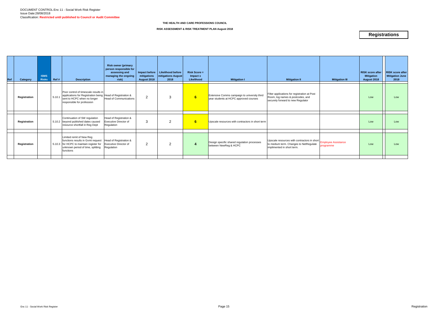| Ref | Category     | <b>ISMS</b><br><b>Risks</b> | Ref#   | <b>Description</b>                                                                                                                                              | <b>Risk owner (primary</b><br>person responsible for<br>assessing and<br>managing the ongoing<br>risk) | Impact before<br>mitigations<br>August 2018 | <b>Likelihood before</b><br>mitigations August<br>2018 | <b>Risk Score =</b><br>Impact x<br>Likelihood | <b>Mitigation I</b>                                                                    | <b>Mitigation II</b>                                                                                                                    | <b>Mitigation III</b> | <b>RISK score after</b><br><b>Mitigation</b><br><b>August 2018</b> | <b>RISK score after</b><br>Mitigation June<br>2018 |
|-----|--------------|-----------------------------|--------|-----------------------------------------------------------------------------------------------------------------------------------------------------------------|--------------------------------------------------------------------------------------------------------|---------------------------------------------|--------------------------------------------------------|-----------------------------------------------|----------------------------------------------------------------------------------------|-----------------------------------------------------------------------------------------------------------------------------------------|-----------------------|--------------------------------------------------------------------|----------------------------------------------------|
|     | Registration |                             | S.10.1 | Poor control of timescale results in<br>applications for Registration being Head of Registration &<br>sent to HCPC when no longer<br>responsible for profession | <b>Head of Communications</b>                                                                          | $\overline{2}$                              | 3                                                      | 6                                             | Extensive Comms campaign to university third<br>year students at HCPC approved courses | Filter applications for registration at Post<br>Room, log names & postcodes, and<br>securely forward to new Regulator                   |                       | Low                                                                | Low                                                |
|     | Registration |                             |        | Continuation of SW regulation<br>S.10.2 beyond published dates caused<br>resource shortfall in Reg Dept                                                         | Head of Registration &<br><b>Executive Director of</b><br>Regulation                                   | 3                                           | 2                                                      | 6                                             | Upscale resources with contractors in short term                                       |                                                                                                                                         |                       | Low                                                                | Low                                                |
|     | Registration |                             |        | Limited remit of New Reg<br>functions results in Gvmt request<br>S.10.3 for HCPC to maintain register for<br>unknown period of time, splitting<br>functions     | Head of Registration &<br><b>Executive Director of</b><br>Regulation                                   | 2                                           | 2                                                      |                                               | Design specific shared regulation processes<br>between NewReg & HCPC                   | Upscale resources with contractors in short Employee Assistance<br>to medium term. Changes to NetRegulate<br>implimented in short term. | programme             | Low                                                                | Low                                                |
|     |              |                             |        |                                                                                                                                                                 |                                                                                                        |                                             |                                                        |                                               |                                                                                        |                                                                                                                                         |                       |                                                                    |                                                    |

#### **RISK ASSESSMENT & RISK TREATMENT PLAN August 2018**

### **Registrations**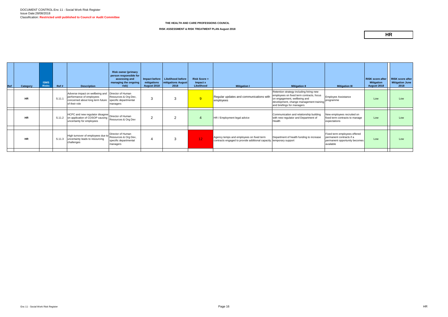| <b>ISMS</b><br>Ref<br><b>Risks</b><br>Category | Ref#   | <b>Description</b>                                                                                                                     | <b>Risk owner (primary</b><br>person responsible for<br>assessing and<br>managing the ongoing<br>risk) | Impact before<br>mitigations<br>August 2018 | Likelihood before<br><b>Initigations August</b><br>2018 | <b>Risk Score =</b><br>$Im$ pact $x$<br><b>Likelihood</b> | <b>Mitigation I</b>                                                                                             | <b>Mitigation II</b>                                                                                                                                                                         | <b>Mitigation III</b>                                                                                  | <b>RISK score after</b><br><b>Mitigation</b><br><b>August 2018</b> | <b>RISK score after</b><br><b>Mitigation June</b><br>2018 |
|------------------------------------------------|--------|----------------------------------------------------------------------------------------------------------------------------------------|--------------------------------------------------------------------------------------------------------|---------------------------------------------|---------------------------------------------------------|-----------------------------------------------------------|-----------------------------------------------------------------------------------------------------------------|----------------------------------------------------------------------------------------------------------------------------------------------------------------------------------------------|--------------------------------------------------------------------------------------------------------|--------------------------------------------------------------------|-----------------------------------------------------------|
| <b>HR</b>                                      | S.11.1 | Adverse impact on wellbeing and<br>performance of employees<br>concerned about long term future specific departmental<br>of their role | Director of Human<br>Resources & Org Dev,<br>managers                                                  | 3                                           |                                                         | 9 <sup>°</sup>                                            | Regular updates and communications with<br>employees                                                            | Retention strategy including hiring new<br>employees on fixed term contracts, focus<br>on engagement, wellbeing and<br>development, change management training<br>and briefings for managers | <b>Employee Assistance</b><br>programme                                                                | Low                                                                | Low                                                       |
| <b>HR</b>                                      | S.11.2 | HCPC and new regulator disagree   Director of Human<br>on application of COSOP causing<br>uncertainty for employees                    | Resources & Org Dev                                                                                    | $\overline{2}$                              | ົ                                                       |                                                           | HR / Employment legal advice                                                                                    | Communication and relationship building<br>with new regulator and Department of<br>Health                                                                                                    | New employees recruited on<br>fixed term contracts to manage<br>expectations                           | Low                                                                | Low                                                       |
| <b>HR</b>                                      | S.11.3 | High turnover of employees due to Resources & Org Dev,<br>uncertainty leads to resourcing<br>challenges                                | Director of Human<br>specific departmental<br>managers                                                 | 4                                           | $\sim$                                                  | $\vert$ 12 $\vert$                                        | Agency temps and employees on fixed term<br>contracts engaged to provide additional capacity. temporary support | Department of health funding to increase                                                                                                                                                     | Fixed term employees offered<br>bermanent contracts if a<br>permanent opportunity becomes<br>available | Low                                                                | Low                                                       |

**RISK ASSESSMENT & RISK TREATMENT PLAN August 2018**

### **HR**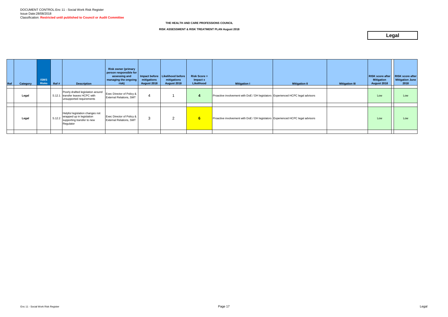| Ref | Category | <b>ISMS</b><br><b>Risks</b> | Ref # | <b>Description</b>                                                                                                       | <b>Risk owner (primary</b><br>person responsible for<br>assessing and<br>  managing the ongoing  <br>risk) | mitigations<br>August 2018 | Impact before   Likelihood before<br>mitigations<br>August 2018 | <b>Risk Score =</b><br>Impact x<br>Likelihood | <b>Mitigation I</b>                                                             | <b>Mitigation II</b> | <b>Mitigation III</b> | <b>RISK score after</b><br><b>Mitigation</b><br>August 2018 | <b>RISK score after</b><br><b>Mitigation June</b><br>2018 |
|-----|----------|-----------------------------|-------|--------------------------------------------------------------------------------------------------------------------------|------------------------------------------------------------------------------------------------------------|----------------------------|-----------------------------------------------------------------|-----------------------------------------------|---------------------------------------------------------------------------------|----------------------|-----------------------|-------------------------------------------------------------|-----------------------------------------------------------|
|     | Legal    |                             |       | Poorly drafted legislation around<br>S.12.1 transfer leaves HCPC with<br>unsupported requirements                        | Exec Director of Policy &<br><b>External Relations, SMT</b>                                                |                            |                                                                 | 4                                             | Proactive involvement with DoE / DH legislators Experienced HCPC legal advisors |                      |                       | Low                                                         | Low                                                       |
|     | Legal    |                             |       | Helpful legislation changes not<br>$\vert$ S.12.2   wrapped up in legislation<br>supporting transfer to new<br>Regulator | <b>Exec Director of Policy &amp;</b><br><b>External Relations, SMT</b>                                     | 3                          | 2                                                               | 6 <sup>1</sup>                                | Proactive involvement with DoE / DH legislators Experienced HCPC legal advisors |                      |                       | Low                                                         | Low                                                       |
|     |          |                             |       |                                                                                                                          |                                                                                                            |                            |                                                                 |                                               |                                                                                 |                      |                       |                                                             |                                                           |

**RISK ASSESSMENT & RISK TREATMENT PLAN August 2018**

## **Legal**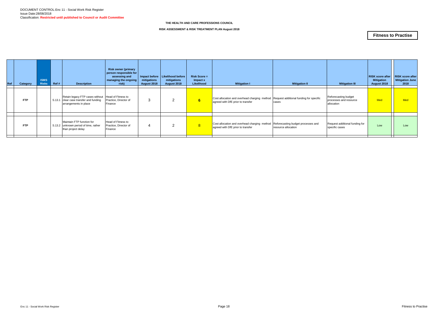| Ref | Category   | <b>ISMS</b><br><b>Risks</b> | Ref# | <b>Description</b>                                                                                                      | <b>Risk owner (primary</b><br>person responsible for<br>assessing and<br>managing the ongoing<br>risk) | mitigations<br>August 2018 | Impact before   Likelihood before<br>mitigations<br>August 2018 | $Risk Score =$<br>Impact x<br>Likelihood | <b>Mitigation I</b>                                                                                                       | <b>Mitigation II</b> | <b>Mitigation III</b>                                        | <b>RISK score after</b><br><b>Mitigation</b><br>August 2018 | <b>RISK score after</b><br><b>Mitigation June</b><br>2018 |
|-----|------------|-----------------------------|------|-------------------------------------------------------------------------------------------------------------------------|--------------------------------------------------------------------------------------------------------|----------------------------|-----------------------------------------------------------------|------------------------------------------|---------------------------------------------------------------------------------------------------------------------------|----------------------|--------------------------------------------------------------|-------------------------------------------------------------|-----------------------------------------------------------|
|     | FTP        |                             |      | Retain legacy FTP cases without   Head of Fitness to<br>S.13.1 clear case transfer and funding<br>arrangements in place | Practice, Director of<br>Finance                                                                       |                            | 2                                                               | 6                                        | Cost allocation and overhead charging method Request additional funding for specific<br>agreed with DfE prior to transfer | cases                | Reforecasting budget<br>processes and resource<br>allocation | <b>Med</b>                                                  | <b>Med</b>                                                |
|     | <b>FTP</b> |                             |      | Maintain FTP function for<br>S.13.2 unknown period of time, rather                                                      | <b>Head of Fitness to</b><br>Practice, Director of                                                     |                            | $\overline{2}$                                                  | 8 <sup>1</sup>                           | Cost allocation and overhead charging method   Reforecasting budget processes and                                         |                      | Request additional funding for                               | Low                                                         | Low                                                       |
|     |            |                             |      | than project delay                                                                                                      | Finance                                                                                                |                            |                                                                 |                                          | agreed with DfE prior to transfer                                                                                         | resource allocation  | specific cases                                               |                                                             |                                                           |

#### **RISK ASSESSMENT & RISK TREATMENT PLAN August 2018**

### **Fitness to Practise**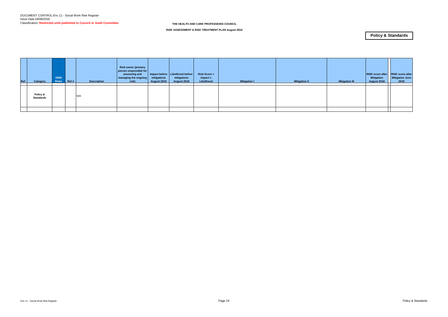| Ref | Category                     | <b>ISMS</b><br><b>Risks</b> | Ref# | <b>Description</b> | <b>Risk owner (primary</b><br>person responsible for<br>assessing and<br>  managing the ongoing  <br>risk) | mitigations<br>August 2018 | Impact before   Likelihood before  <br>mitigations<br>August 2018 | <b>Risk Score =</b><br>Impact x<br>Likelihood | <b>Mitigation I</b> | <b>Mitigation II</b> | <b>Mitigation III</b> | <b>RISK score after</b><br><b>Mitigation</b><br>August 2018 | <b>RISK score after</b><br><b>Mitigation June</b><br>2018 |
|-----|------------------------------|-----------------------------|------|--------------------|------------------------------------------------------------------------------------------------------------|----------------------------|-------------------------------------------------------------------|-----------------------------------------------|---------------------|----------------------|-----------------------|-------------------------------------------------------------|-----------------------------------------------------------|
|     | Policy &<br><b>Standards</b> |                             |      | N/A                |                                                                                                            |                            |                                                                   |                                               |                     |                      |                       |                                                             |                                                           |
|     |                              |                             |      |                    |                                                                                                            |                            |                                                                   |                                               |                     |                      |                       |                                                             |                                                           |

**RISK ASSESSMENT & RISK TREATMENT PLAN August 2018**

### **Policy & Standards**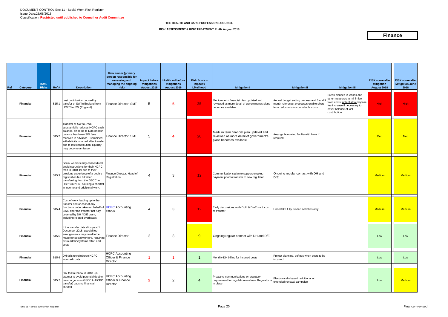| Ref | Category         | <b>ISMS</b><br><b>Risks</b> | Ref#                       | <b>Description</b>                                                                                                                                                                                                                                                            | <b>Risk owner (primary</b><br>person responsible for<br>assessing and<br>managing the ongoing<br>risk) | mitigations<br>August 2018 | Impact before   Likelihood before<br>mitigations<br>August 2018 | $Risk Score =$<br>Impact x<br>Likelihood | <b>Mitigation I</b>                                                                                          | <b>Mitigation II</b>                                                                                                          | <b>Mitigation III</b>                                                                                                                                                   | <b>RISK score after</b><br><b>Mitigation</b><br>August 2018 | <b>RISK score after</b><br><b>Mitigation June</b><br>2018 |
|-----|------------------|-----------------------------|----------------------------|-------------------------------------------------------------------------------------------------------------------------------------------------------------------------------------------------------------------------------------------------------------------------------|--------------------------------------------------------------------------------------------------------|----------------------------|-----------------------------------------------------------------|------------------------------------------|--------------------------------------------------------------------------------------------------------------|-------------------------------------------------------------------------------------------------------------------------------|-------------------------------------------------------------------------------------------------------------------------------------------------------------------------|-------------------------------------------------------------|-----------------------------------------------------------|
|     | <b>Financial</b> |                             |                            | Lost contribution caused by<br>S15.1 transfer of SW in England from<br>HCPC to SW (England)                                                                                                                                                                                   | Finance Director, SMT                                                                                  | 5                          | 5                                                               | 25                                       | Medium term financial plan updated and<br>reviewed as more detail of government's plans<br>becomes available | Annual budget setting process and 6 and 9<br>month reforecast processes enable short<br>term reductions in controllable costs | Break clauses in leases and<br>other measures to minimise<br>fixed costs; potential to propose<br>fee increase if necessary to<br>cover balance of lost<br>contribution | High                                                        | <b>High</b>                                               |
|     | <b>Financial</b> |                             | S <sub>15.2</sub>          | Transfer of SW to SWE<br>substantially reduces HCPC cash<br>balance, since up to £5m of cash<br>balance has been SW fees<br>received in advance. Combined<br>with deficits incurred after transfer<br>due to lost contribution, liquidity<br>may become an issue              | Finance Director, SMT                                                                                  | 5                          | 4                                                               | 20 <sub>1</sub>                          | Medium term financial plan updated and<br>reviewed as more detail of government's<br>plans becomes available | Arrange borrowing facility with bank if<br>required                                                                           |                                                                                                                                                                         | Med                                                         | Med                                                       |
|     | <b>Financial</b> |                             | S <sub>15.3</sub>          | Social workers may cancel direct<br>debit instructions for their HCPC<br>fees in 2018-19 due to their<br>previous experience of a double<br>registration fee hit when<br>transferring from the GSCC to<br>HCPC in 2012, causing a shortfall<br>in income and additional work. | Finance Director, Head of<br>Registration                                                              | 4                          | 3                                                               | 12 <sub>1</sub>                          | Communications plan to support ongoing<br>payment prior to transfer to new regulator                         | Ongoing regular contact with DH and<br>DfE                                                                                    |                                                                                                                                                                         | <b>Medium</b>                                               | <b>Medium</b>                                             |
|     | <b>Financial</b> |                             | S15.4                      | Cost of work leading up to the<br>transfer and/or cost of any<br>functions undertaken on behalf of <b>HCPC</b> Accounting<br>SWE after the transfer not fully<br>covered by DH / DfE grant,<br>including related overheads                                                    | Officer                                                                                                | 4                          | 3                                                               | 12 <sub>1</sub>                          | Early discussions woth DoH & D oE w.r.t. cost<br>of transfer                                                 | Undertake fully funded activities only                                                                                        |                                                                                                                                                                         | Medium                                                      | <b>Medium</b>                                             |
|     | <b>Financial</b> |                             | S <sub>15.5</sub><br>costs | If the transfer date slips past 1<br>December 2018, special fee<br>arrangements may need to be<br>made for social workers, requiring Finance Director<br>extra admin/systems effort and                                                                                       |                                                                                                        | 3                          | 3                                                               | 9                                        | Ongoing regular contact with DH and DfE                                                                      |                                                                                                                               |                                                                                                                                                                         | Low                                                         | Low                                                       |
|     | <b>Financial</b> |                             | S15.6                      | DH fails to reimburse HCPC<br>incurred costs                                                                                                                                                                                                                                  | <b>HCPC</b> Accounting<br>Officer & Finance<br>Director                                                |                            | -1                                                              | $\mathbf 1$                              | Monthly DH billing for incurred costs                                                                        | Project planning, defines when costs to be<br>incurred                                                                        |                                                                                                                                                                         | Low                                                         | Low                                                       |
|     | <b>Financial</b> |                             |                            | SW fail to renew in 2018 (in<br>attempt to avoid potential double<br>S15.7 fee charge as in GSCC to HCPC<br>transfer) causing financial<br>shortfall                                                                                                                          | <b>HCPC</b> Accounting<br>Officer & Finance<br>Director                                                | $\mathbf{2}$               | $\overline{2}$                                                  | 4                                        | Proactive communications on statutory<br>requirement for regulation until new Regulator is<br>in place       | Electronically based additional or<br>extended renewal campaign                                                               |                                                                                                                                                                         | Low                                                         | <b>Medium</b>                                             |

#### **RISK ASSESSMENT & RISK TREATMENT PLAN August 2018**

### **Finance**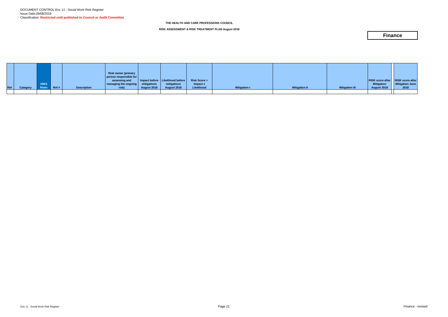|       |          |              |                      |                    | Risk owner (primary<br>person responsible for |                    |                                   |                |                     |                      |                       |                                     |                        |
|-------|----------|--------------|----------------------|--------------------|-----------------------------------------------|--------------------|-----------------------------------|----------------|---------------------|----------------------|-----------------------|-------------------------------------|------------------------|
|       |          |              |                      |                    | assessing and                                 |                    | Impact before   Likelihood before | $Risk Score =$ |                     |                      |                       | RISK score after   RISK score after |                        |
|       |          | <b>ISMS</b>  |                      |                    | managing the ongoing                          | mitigations        | mitigations                       | Impact x       |                     |                      |                       | <b>Mitigation</b>                   | <b>Mitigation June</b> |
| Ref / | Category | <b>Risks</b> | $\blacksquare$ Ref # | <b>Description</b> | risk)                                         | <b>August 2018</b> | August 2018                       | Likelihood     | <b>Mitigation I</b> | <b>Mitigation II</b> | <b>Mitigation III</b> | August 2018                         | 2018                   |
|       |          |              |                      |                    |                                               |                    |                                   |                |                     |                      |                       |                                     |                        |

**RISK ASSESSMENT & RISK TREATMENT PLAN August 2018**

### **Finance**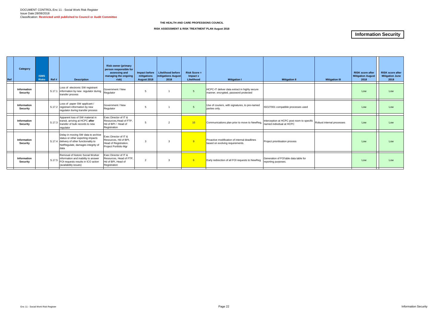| Ref | Category                       | <b>ISMS</b><br><b>Risks</b> | Ref# | <b>Description</b>                                                                                                                                                | <b>Risk owner (primary</b><br>person responsible for<br>assessing and<br>managing the ongoing<br>risk) | Impact before<br>mitigations<br>August 2018 | <b>Likelihood before</b><br>mitigations August<br>2018 | $Risk Score =$<br>Impact x<br>Likelihood | <b>Mitigation I</b>                                                                    | <b>Mitigation II</b>                                                                             | <b>Mitigation III</b> | <b>RISK score after</b><br><b>Mitigation August</b><br>2018 | <b>RISK score after</b><br><b>Mitigation June</b><br>2018 |
|-----|--------------------------------|-----------------------------|------|-------------------------------------------------------------------------------------------------------------------------------------------------------------------|--------------------------------------------------------------------------------------------------------|---------------------------------------------|--------------------------------------------------------|------------------------------------------|----------------------------------------------------------------------------------------|--------------------------------------------------------------------------------------------------|-----------------------|-------------------------------------------------------------|-----------------------------------------------------------|
|     | Information<br><b>Security</b> |                             |      | Loss of electronic SW registrant<br>S.17.1 information by new regulator during<br>transfer process                                                                | Government / New<br>Regulator                                                                          | 5                                           |                                                        | $\overline{5}$                           | HCPC-IT deliver data extract in highly secure<br>manner, encrypted, password protected |                                                                                                  |                       | Low                                                         | Low                                                       |
|     | Information<br>Security        |                             |      | Loss of paper SW applicant /<br>S.17.2 registrant information by new<br>regulator during transfer process                                                         | Government / New<br>Regulator                                                                          | 5                                           |                                                        |                                          | Use of couriers, with signatures, to pre-named<br>parties only.                        | ISO27001 compatible processes used                                                               |                       | Low                                                         | Low                                                       |
|     | Information<br><b>Security</b> |                             |      | Apparent loss of SW material in<br>S.17.3 transit, arriving at HCPC after<br>transfer of bulk records to new<br>regulator                                         | Exec Director of IT &<br>Resources, Head of FTP,<br>Hd of BPI / Head of<br>Registration                | 5                                           | $\overline{2}$                                         | 10 <sup>°</sup>                          | Communications plan prior to move to NewReg,                                           | Interception at HCPC post room to specific Robust internal processes<br>named individual at HCPC |                       | Low                                                         | Low                                                       |
|     | Information<br>Security        |                             |      | Delay in moving SW data to archive<br>status or other exporting impacts<br>S.17.4 delivery of other functionality to<br>NetRegulate, damages integrity of<br>data | Exec Director of IT &<br>Resources. Hd of BPI.<br>Head of Registration.<br>Project Portfolio Mgr       | 3                                           | $\mathbf{3}$                                           | $-9$                                     | Proactive modification of internal deadlines<br>based on evolving requirements.        | Project prioritisation process                                                                   |                       | Low                                                         | Low                                                       |
|     | Information<br><b>Security</b> |                             |      | Removal of historic Social Worker<br>S.17.5 information and inability to answer<br>FOI requests results in ICO action<br>(availability issues)                    | Exec Director of IT &<br>Resources, Head of FTP.<br>Hd of BPI, Head of<br>Registration                 | $\overline{2}$                              | $\mathbf{3}$                                           | $-6$                                     | Early redirection of all FOI requests to NewReq                                        | Generation of FOI'able data table for<br>reporting purposes.                                     |                       | Low                                                         | Low                                                       |

#### **RISK ASSESSMENT & RISK TREATMENT PLAN August 2018**

## **Information Security**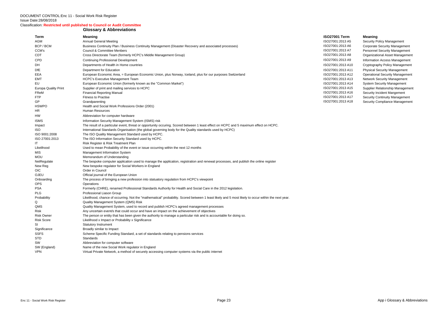Classification: **Restricted until published to Council or Audit Committee**

#### **Glossary & Abbreviations**

| Term                        | <b>Meaning</b>                                                                                                                                      | <b>ISO27001 Term</b> | <b>Meaning</b>    |
|-----------------------------|-----------------------------------------------------------------------------------------------------------------------------------------------------|----------------------|-------------------|
| AGM                         | <b>Annual General Meeting</b>                                                                                                                       | ISO27001:2013 A5     | <b>Security F</b> |
| BCP / BCM                   | Business Continuity Plan / Business Continuity Management (Disaster Recovery and associated processes)                                              | ISO27001:2013 A6     | Corporate         |
| CCM's                       | Council & Committee Menbers                                                                                                                         | ISO27001:2013 A7     | Personne          |
| CDT                         | Cross Directorate Team (formerly HCPC's Middle Management Group)                                                                                    | ISO27001:2013 A8     | Organizat         |
| <b>CPD</b>                  | <b>Continuing Professional Development</b>                                                                                                          | ISO27001:2013 A9     | Informatic        |
| DH                          | Departments of Health in Home countries                                                                                                             | ISO27001:2013 A10    | Cryptogra         |
| <b>DfE</b>                  | Department for Education                                                                                                                            | ISO27001:2013 A11    | Physical S        |
| EEA                         | European Economic Area, = European Economic Union, plus Norway, Iceland, plus for our purposes Switzerland                                          | ISO27001:2013 A12    | Operation         |
| <b>EMT</b>                  | <b>HCPC's Executive Management Team</b>                                                                                                             | ISO27001:2013 A13    | Network S         |
| EU                          | European Economic Union (formerly known as the "Common Market")                                                                                     | ISO27001:2013 A14    | System S          |
| <b>Europa Quality Print</b> | Supplier of print and mailing services to HCPC                                                                                                      | ISO27001:2013 A15    | Supplier F        |
| FReM                        | <b>Financial Reporting Manual</b>                                                                                                                   | ISO27001:2013 A16    | Security li       |
| <b>FTP</b>                  | <b>Fitness to Practise</b>                                                                                                                          | ISO27001:2013 A17    | Security C        |
| <b>GP</b>                   | Grandparenting                                                                                                                                      | ISO27001:2013 A18    | Security C        |
| <b>HSWPO</b>                | Health and Social Work Professions Order (2001)                                                                                                     |                      |                   |
| HR.                         | Human Resources                                                                                                                                     |                      |                   |
| HW                          | Abbreviation for computer hardware                                                                                                                  |                      |                   |
| <b>ISMS</b>                 | Information Security Management System (ISMS) risk                                                                                                  |                      |                   |
| Impact                      | The result of a particular event, threat or opportunity occuring. Scored between 1 least effect on HCPC and 5 maximum effect on HCPC.               |                      |                   |
| <b>ISO</b>                  | International Standards Organisation (the global governing body for the Quality standards used by HCPC)                                             |                      |                   |
| ISO 9001:2008               | The ISO Quality Management Standard used by HCPC.                                                                                                   |                      |                   |
| ISO 27001:2013              | The ISO Information Security Standard used by HCPC.                                                                                                 |                      |                   |
| IT                          | Risk Register & Risk Treatment Plan                                                                                                                 |                      |                   |
| Likelihood                  | Used to mean Probability of the event or issue occurring within the next 12 months                                                                  |                      |                   |
| <b>MIS</b>                  | Management Information System                                                                                                                       |                      |                   |
| <b>MOU</b>                  | Memorandum of Understanding                                                                                                                         |                      |                   |
| NetRegulate                 | The bespoke computer application used to manage the application, registration and renewal processes, and publish the online register                |                      |                   |
| New Reg                     | New bespoke regulator for Social Workers in England                                                                                                 |                      |                   |
| <b>OIC</b>                  | Order in Council                                                                                                                                    |                      |                   |
| OJEU                        | Official journal of the European Union                                                                                                              |                      |                   |
| Onboarding                  | The process of bringing a new profession into statuatory regulation from HCPC's viewpoint                                                           |                      |                   |
| <b>OPS</b>                  | Operations                                                                                                                                          |                      |                   |
| <b>PSA</b>                  | Formerly (CHRE), renamed Professional Standards Authority for Health and Social Care in the 2012 legislation.                                       |                      |                   |
| <b>PLG</b>                  | Professional Liason Group                                                                                                                           |                      |                   |
| Probability                 | Likelihood, chance of occurring. Not the "mathematical" probability. Scored between 1 least likely and 5 most likely to occur within the next year. |                      |                   |
| Q                           | Quality Management System (QMS) Risk                                                                                                                |                      |                   |
| QMS                         | Quality Management System, used to record and publish HCPC's agreed management processes                                                            |                      |                   |
| <b>Risk</b>                 | Any uncertain event/s that could occur and have an impact on the achievement of objectives                                                          |                      |                   |
| <b>Risk Owner</b>           | The person or entity that has been given the authority to manage a particular risk and is accountable for doing so.                                 |                      |                   |
| <b>Risk Score</b>           | Likelihood x Impact or Probability x Significance                                                                                                   |                      |                   |
| SI                          | <b>Statutory Instrument</b>                                                                                                                         |                      |                   |
| Significance                | Broadly similar to Impact                                                                                                                           |                      |                   |
| <b>SSFS</b>                 | Scheme Specific Funding Standard, a set of standards relating to pensions services                                                                  |                      |                   |
| <b>STD</b>                  | Standards                                                                                                                                           |                      |                   |
| SW                          | Abbreviation for computer software                                                                                                                  |                      |                   |
| SW (England)                | Name of the new Social Work regulator in England                                                                                                    |                      |                   |
| <b>VPN</b>                  | Virtual Private Network, a method of securely accessing computer systems via the public internet                                                    |                      |                   |

7001:2013 A5 Security Policy Management 7001:2013 A6 Corporate Security Management 7001:2013 A7 Personnel Security Management 7001:2013 A8 Organizational Asset Management T001:2013 A9 Information Access Management 7001:2013 A10 Cryptography Policy Management 7001:2013 A11 Physical Security Management T001:2013 A12 **Conomic Deconomic Deconomic Proper** Economic Vanagement 7001:2013 A13 Network Security Management T001:2013 A14 System Security Management 7001:2013 A15 Supplier Relationship Management 7001:2013 A16 Security Incident Mangement 7001:2013 A17 Security Continuity Management 7001:2013 A18 Security Compliance Management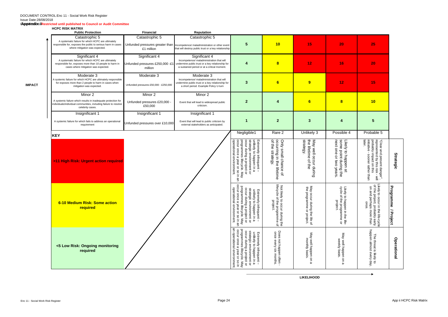#### Classification: **Appendix ii Restricted until published to Council or Audit Committee**

#### **HCPC RISK MATRIX**

**IMPACT**

| אוחו מוטוח טוסרט שוו<br><b>Public Protection</b>                                                                                                                       | <b>Financial</b>                                    | <b>Reputation</b>                                                                                                                                                                             |                                                                                                                                                                                                                          |                                                                                                      |                                                                                             |                                                                                                                             |                                                                                                                                        |                             |
|------------------------------------------------------------------------------------------------------------------------------------------------------------------------|-----------------------------------------------------|-----------------------------------------------------------------------------------------------------------------------------------------------------------------------------------------------|--------------------------------------------------------------------------------------------------------------------------------------------------------------------------------------------------------------------------|------------------------------------------------------------------------------------------------------|---------------------------------------------------------------------------------------------|-----------------------------------------------------------------------------------------------------------------------------|----------------------------------------------------------------------------------------------------------------------------------------|-----------------------------|
| Catastrophic 5<br>A systematic failure for which HCPC are ultimately<br>responsible for, exposes the public to serious harm in cases<br>where mitigation was expected. | Catastrophic 5<br>£1 million                        | Catastrophic 5<br>Unfunded pressures greater than Incompetence/ maladministration or other event<br>that will destroy public trust or a key relationship                                      | 5                                                                                                                                                                                                                        | 10                                                                                                   | 15                                                                                          | 20                                                                                                                          | 25                                                                                                                                     |                             |
| Significant 4<br>A systematic failure for which HCPC are ultimately<br>responsible for, exposes more than 10 people to harm in<br>cases where mitigation was expected. | Significant 4<br>million                            | Significant 4<br>Incompetence/ maladministration that will<br>Unfunded pressures £250,000 -£1 undermine public trust or a key relationship for<br>a sustained period or at a critical moment. | 4                                                                                                                                                                                                                        | $\bf{8}$                                                                                             | 12                                                                                          | 16                                                                                                                          | 20                                                                                                                                     |                             |
| Moderate 3<br>A systemic failure for which HCPC are ultimately responsible<br>for exposes more than 2 people to harm in cases when<br>mitigation was expected.         | Moderate 3<br>Unfunded pressures £50,000 - £250,000 | Moderate 3<br>Incompetence/ maladministration that will<br>undermine public trust or a key relationship for<br>a short period. Example Policy U-turn                                          | 3                                                                                                                                                                                                                        | 6                                                                                                    | 9                                                                                           | 12                                                                                                                          | 15                                                                                                                                     |                             |
| Minor 2<br>A systemic failure which results in inadequate protection for<br>individuals/individual communities, including failure to resolve<br>celebrity cases.       | Minor 2<br>Unfunded pressures £20,000 -<br>£50,000  | Minor 2<br>Event that will lead to widespread public<br>criticism.                                                                                                                            | $\overline{2}$                                                                                                                                                                                                           | 4                                                                                                    | 6                                                                                           | $\overline{\mathbf{8}}$                                                                                                     | 10                                                                                                                                     |                             |
| Insignificant 1<br>A systemic failure for which fails to address an operational<br>requirement                                                                         | Insignificant 1<br>Unfunded pressures over £10,000  | Insignificant 1<br>Event that will lead to public criticism by<br>external stakeholders as anticipated.                                                                                       |                                                                                                                                                                                                                          | $\mathbf{2}$                                                                                         | 3                                                                                           |                                                                                                                             | 5                                                                                                                                      |                             |
| <b>KEY</b>                                                                                                                                                             |                                                     |                                                                                                                                                                                               | Negligible1                                                                                                                                                                                                              | Rare 2                                                                                               | Unlikely 3                                                                                  | Possible 4                                                                                                                  | Probable 5                                                                                                                             |                             |
| >11 High Risk: Urgent action required                                                                                                                                  |                                                     |                                                                                                                                                                                               | Extremely infrequent –<br>unlikely to happen in a<br>strategic environment or<br>locur during a project or<br>programmes lifecycle. May<br>loccur once a year or so in ar<br>operational environment.<br>Ψ               | occurring in the<br>Only small chance<br>of the strategy.<br>lifetime<br>$\vec{\sigma}$              | strategy.<br>ψe<br>May well occur during<br>lifetime<br>$\Omega$<br>te<br>S                 | Likely<br> some<br>next<br>one<br>/ to happen at<br>point during 1<br>$\vec{\mathsf{d}}$<br>mo<br>years<br>$\ddot{\vec{r}}$ | later.<br>"Clear and present danger",<br>represented by this risk - will<br>probably impact on this<br>initiative - sooner rather than | <b>Strategic</b>            |
| 6-10 Medium Risk: Some action<br>required                                                                                                                              |                                                     |                                                                                                                                                                                               | strategic environment or<br>occur during a project or<br>programmes lifecycle. May<br>occur once a year or so in an<br>operational environment.<br>Extremely infrequent –<br>unlikely to happen in a<br>year or so in an | lifecycle<br>Not likely<br>of the programme<br>project.<br>to occur during the<br>f the programme of | May occur during<br>the programme<br>occur during the life of<br>$\overline{a}$<br>project. | Likely<br>cycle (<br>$\frac{9}{10}$ at<br>co happen in the life-<br>f the programme or<br>project.                          | Likely to<br>of the project, probably early<br>on and perhaps more than<br>$\circ$<br>ccur in the life-cycle<br>once.                  | Progra<br>umme<br>/ Project |
| <5 Low Risk: Ongoing monitoring<br>required                                                                                                                            |                                                     |                                                                                                                                                                                               | an operational environment.<br>occur during a project or<br>programmes lifecycle. May<br>occur once a year or so in<br>strategic environment or<br>Extremely infrequent –<br>unlikely to happen in a                     | Does not happen often<br>once every six months.                                                      | May well happen on a<br>monthly<br>basis                                                    | May well happen on<br>weekly basis.<br>ω                                                                                    | The threat is likely to<br>happen almost every day.<br>The                                                                             | <b>Operational</b>          |

**LIKELIHOOD**

 $\overline{\phantom{a}}$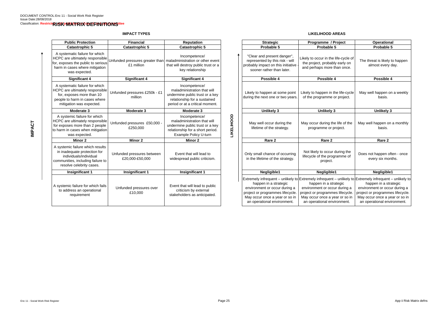### **IMPACT TYPES**

### **LIKELIHOOD AREAS**

|                                               |                                                                                                                                                    |                                                                                                                |                                                                                                                                                             |                                                                                                                                                             | Operational                                                                                                                                               |
|-----------------------------------------------|----------------------------------------------------------------------------------------------------------------------------------------------------|----------------------------------------------------------------------------------------------------------------|-------------------------------------------------------------------------------------------------------------------------------------------------------------|-------------------------------------------------------------------------------------------------------------------------------------------------------------|-----------------------------------------------------------------------------------------------------------------------------------------------------------|
|                                               |                                                                                                                                                    |                                                                                                                |                                                                                                                                                             | Probable 5                                                                                                                                                  | Probable 5                                                                                                                                                |
| HCPC are ultimately responsible<br>£1 million | Incompetence/<br>that will destroy public trust or a<br>key relationship                                                                           |                                                                                                                | "Clear and present danger",<br>represented by this risk - will<br>probably impact on this initiative<br>sooner rather than later.                           | Likely to occur in the life-cycle of<br>the project, probably early on<br>and perhaps more than once.                                                       | The threat is likely to<br>almost every d                                                                                                                 |
| <b>Significant 4</b>                          | <b>Significant 4</b>                                                                                                                               |                                                                                                                | Possible 4                                                                                                                                                  | Possible 4                                                                                                                                                  | Possible 4                                                                                                                                                |
| Unfunded pressures £250k - £1<br>million      | Incompetence/<br>maladministration that will<br>undermine public trust or a key<br>relationship for a sustained<br>period or at a critical moment. |                                                                                                                | Likely to happen at some point<br>during the next one or two years.                                                                                         | of the programme or project.                                                                                                                                | May well happen on<br>basis.                                                                                                                              |
| Moderate 3                                    | Moderate 3                                                                                                                                         |                                                                                                                | <b>Unlikely 3</b>                                                                                                                                           | <b>Unlikely 3</b>                                                                                                                                           | <b>Unlikely 3</b>                                                                                                                                         |
| Unfunded pressures £50,000 -<br>£250,000      | Incompetence/<br>maladministration that will<br>undermine public trust or a key<br>relationship for a short period.<br>Example Policy U-turn       |                                                                                                                | May well occur during the<br>lifetime of the strategy.                                                                                                      | May occur during the life of the<br>programme or project.                                                                                                   | May well happen on a<br>basis.                                                                                                                            |
| <b>Minor 2</b>                                | Minor 2                                                                                                                                            |                                                                                                                | Rare 2                                                                                                                                                      | Rare 2                                                                                                                                                      | Rare 2                                                                                                                                                    |
| Unfunded pressures between<br>£20,000-£50,000 | Event that will lead to<br>widespread public criticism.                                                                                            |                                                                                                                | Only small chance of occurring<br>in the lifetime of the strategy.                                                                                          | Not likely to occur during the<br>lifecycle of the programme of<br>project.                                                                                 | Does not happen ofte<br>every six mont                                                                                                                    |
| <b>Insignificant 1</b>                        | <b>Insignificant 1</b>                                                                                                                             |                                                                                                                | Negligible1                                                                                                                                                 | Negligible1                                                                                                                                                 | Negligible1                                                                                                                                               |
| Unfunded pressures over<br>£10,000            | Event that will lead to public<br>criticism by external<br>stakeholders as anticipated.                                                            |                                                                                                                | happen in a strategic<br>environment or occur during a<br>project or programmes lifecycle.<br>May occur once a year or so in<br>an operational environment. | happen in a strategic<br>environment or occur during a<br>project or programmes lifecycle.<br>May occur once a year or so in<br>an operational environment. | happen in a stra<br>environment or occu<br>project or programme:<br>May occur once a yea<br>an operational envir                                          |
|                                               | <b>Financial</b><br><b>Catastrophic 5</b>                                                                                                          | <b>Reputation</b><br><b>Catastrophic 5</b><br>Unfunded pressures greater than maladministration or other event | <b>LIKELIHOOD</b>                                                                                                                                           | <b>Strategic</b><br>Probable 5                                                                                                                              | Programme / Project<br>Likely to happen in the life-cycle<br>Extremely infrequent – unlikely to Extremely infrequent – unlikely to Extremely infrequent – |

| blic Protection                                                                                                              | <b>Financial</b>                                                               | <b>Reputation</b>                                                                                                                                  |                          | <b>Strategic</b>                                                                                                                                                                                                                                                        | Programme / Project                                                                                                                                         | Operational                                                                                                                                                 |
|------------------------------------------------------------------------------------------------------------------------------|--------------------------------------------------------------------------------|----------------------------------------------------------------------------------------------------------------------------------------------------|--------------------------|-------------------------------------------------------------------------------------------------------------------------------------------------------------------------------------------------------------------------------------------------------------------------|-------------------------------------------------------------------------------------------------------------------------------------------------------------|-------------------------------------------------------------------------------------------------------------------------------------------------------------|
| atastrophic 5;                                                                                                               | <b>Catastrophic 5</b>                                                          | <b>Catastrophic 5</b>                                                                                                                              |                          | Probable 5                                                                                                                                                                                                                                                              | Probable 5                                                                                                                                                  | Probable 5                                                                                                                                                  |
| natic failure for which<br>e ultimately responsible<br>es the public to serious<br>cases where mitigation<br>was expected.   | Unfunded pressures greater than maladministration or other event<br>£1 million | Incompetence/<br>that will destroy public trust or a<br>key relationship                                                                           |                          | "Clear and present danger",<br>represented by this risk - will<br>probably impact on this initiative<br>sooner rather than later.                                                                                                                                       | Likely to occur in the life-cycle of<br>the project, probably early on<br>and perhaps more than once.                                                       | The threat is likely to happen<br>almost every day.                                                                                                         |
| <b>Significant 4</b>                                                                                                         | <b>Significant 4</b>                                                           | <b>Significant 4</b>                                                                                                                               |                          | Possible 4                                                                                                                                                                                                                                                              | Possible 4                                                                                                                                                  | Possible 4                                                                                                                                                  |
| natic failure for which<br>e ultimately responsible<br>poses more than 10<br>b harm in cases where<br>ition was expected.    | Unfunded pressures £250k - £1<br>million                                       | Incompetence/<br>maladministration that will<br>undermine public trust or a key<br>relationship for a sustained<br>period or at a critical moment. |                          | Likely to happen at some point<br>during the next one or two years.                                                                                                                                                                                                     | Likely to happen in the life-cycle<br>of the programme or project.                                                                                          | May well happen on a weekly<br>basis.                                                                                                                       |
| Moderate 3                                                                                                                   | Moderate 3                                                                     | Moderate 3                                                                                                                                         |                          | <b>Unlikely 3</b>                                                                                                                                                                                                                                                       | <b>Unlikely 3</b>                                                                                                                                           | <b>Unlikely 3</b>                                                                                                                                           |
| mic failure for which<br>e ultimately responsible<br>es more than 2 people<br>cases when mitigation<br>was expected.         | Unfunded pressures £50,000<br>£250,000                                         | Incompetence/<br>maladministration that will<br>undermine public trust or a key<br>relationship for a short period.<br>Example Policy U-turn       | <b><i>LIKELIHOOD</i></b> | May well occur during the<br>lifetime of the strategy.                                                                                                                                                                                                                  | May occur during the life of the<br>programme or project.                                                                                                   | May well happen on a monthly<br>basis.                                                                                                                      |
| <b>Minor 2</b>                                                                                                               | Minor 2                                                                        | Minor 2                                                                                                                                            |                          | Rare <sub>2</sub>                                                                                                                                                                                                                                                       | Rare 2                                                                                                                                                      | Rare 2                                                                                                                                                      |
| ic failure which results<br>equate protection for<br>viduals/individual<br>ties, including failure to<br>ve celebrity cases. | Unfunded pressures between<br>£20,000-£50,000                                  | Event that will lead to<br>widespread public criticism.                                                                                            |                          | Only small chance of occurring<br>in the lifetime of the strategy.                                                                                                                                                                                                      | Not likely to occur during the<br>lifecycle of the programme of<br>project.                                                                                 | Does not happen often - once<br>every six months.                                                                                                           |
| nsignificant 1                                                                                                               | <b>Insignificant 1</b>                                                         | <b>Insignificant 1</b>                                                                                                                             |                          | Negligible1                                                                                                                                                                                                                                                             | Negligible1                                                                                                                                                 | Negligible1                                                                                                                                                 |
| ic failure for which fails<br>ress an operational<br>requirement                                                             | Unfunded pressures over<br>£10,000                                             | Event that will lead to public<br>criticism by external<br>stakeholders as anticipated.                                                            |                          | Extremely infrequent – unlikely to Extremely infrequent – unlikely to Extremely infrequent – unlikely to<br>happen in a strategic<br>environment or occur during a<br>project or programmes lifecycle.<br>May occur once a year or so in<br>an operational environment. | happen in a strategic<br>environment or occur during a<br>project or programmes lifecycle.<br>May occur once a year or so in<br>an operational environment. | happen in a strategic<br>environment or occur during a<br>project or programmes lifecycle.<br>May occur once a year or so in<br>an operational environment. |